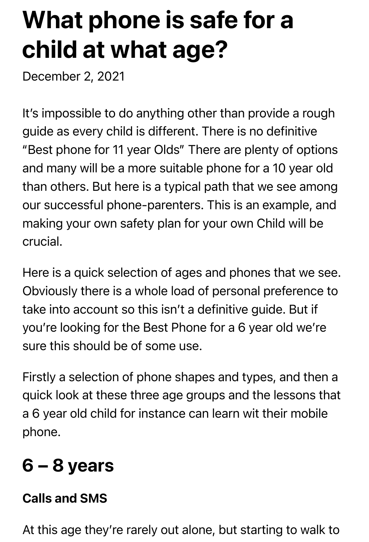# What phone is safe for a child at what age?

December 2, 2021

It's impossible to do anything other than provide a rough guide as every child is different. There is no definitive "Best phone for 11 year Olds" There are plenty of options and many will be a more suitable phone for a 10 year old than others. But here is a typical path that we see among our successful phone-parenters. This is an example, and making your own safety plan for your own Child will be crucial.

Here is a quick selection of ages and phones that we see. Obviously there is a whole load of personal preference to take into account so this isn't a definitive guide. But if you're looking for the Best Phone for a 6 year old we're sure this should be of some use.

Firstly a selection of phone shapes and types, and then a quick look at these three age groups and the lessons that a 6 year old child for instance can learn wit their mobile phone.

# 6 – 8 years

#### Calls and SMS

At this age they're rarely out alone, but starting to walk to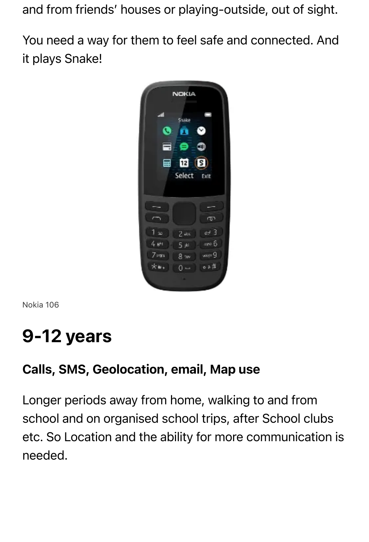and from friends' houses or playing-outside, out of sight.

You need a way for them to feel safe and connected. And it plays Snake!



Nokia 106

## 9-12 years

#### Calls, SMS, Geolocation, email, Map use

Longer periods away from home, walking to and from school and on organised school trips, after School clubs etc. So Location and the ability for more communication is needed.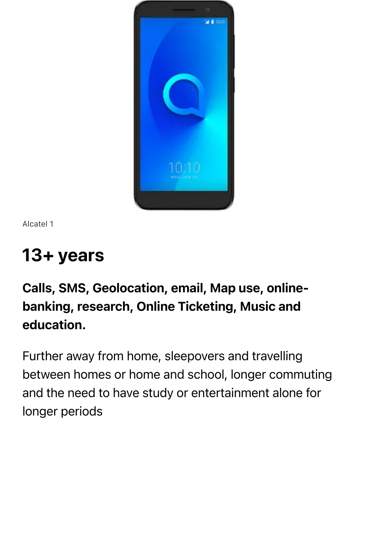

Alcatel 1

## 13+ years

#### Calls, SMS, Geolocation, email, Map use, onlinebanking, research, Online Ticketing, Music and education.

Further away from home, sleepovers and travelling between homes or home and school, longer commuting and the need to have study or entertainment alone for longer periods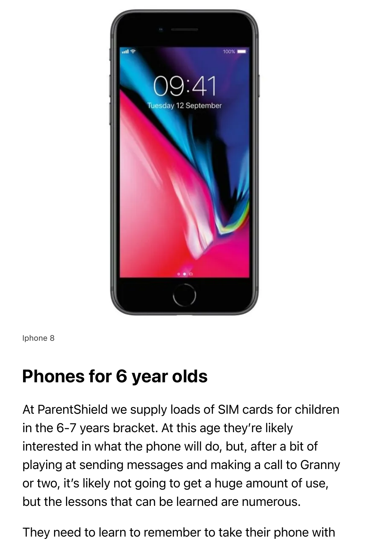

Iphone 8

## Phones for 6 year olds

At ParentShield we supply loads of SIM cards for children in the 6-7 years bracket. At this age they're likely interested in what the phone will do, but, after a bit of playing at sending messages and making a call to Granny or two, it's likely not going to get a huge amount of use, but the lessons that can be learned are numerous.

They need to learn to remember to take their phone with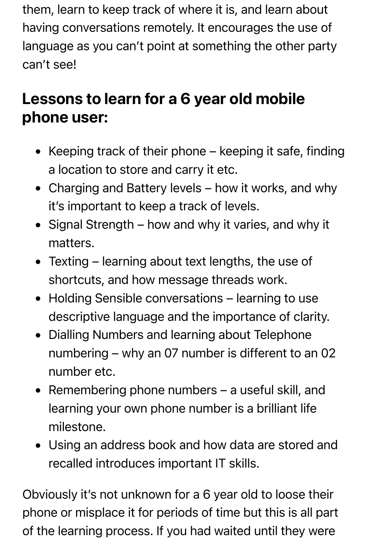them, learn to keep track of where it is, and learn about having conversations remotely. It encourages the use of language as you can't point at something the other party can't see!

## Lessons to learn for a 6 year old mobile phone user:

- Keeping track of their phone  $-$  keeping it safe, finding a location to store and carry it etc.
- Charging and Battery levels how it works, and why it's important to keep a track of levels.
- Signal Strength how and why it varies, and why it matters.
- Texting learning about text lengths, the use of shortcuts, and how message threads work.
- Holding Sensible conversations learning to use descriptive language and the importance of clarity.
- Dialling Numbers and learning about Telephone numbering – why an 07 number is different to an 02 number etc.
- Remembering phone numbers a useful skill, and learning your own phone number is a brilliant life milestone.
- Using an address book and how data are stored and recalled introduces important IT skills.

Obviously it's not unknown for a 6 year old to loose their phone or misplace it for periods of time but this is all part of the learning process. If you had waited until they were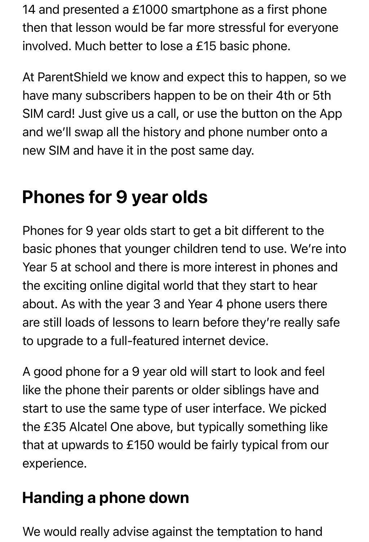14 and presented a £1000 smartphone as a first phone then that lesson would be far more stressful for everyone involved. Much better to lose a £15 basic phone.

At ParentShield we know and expect this to happen, so we have many subscribers happen to be on their 4th or 5th SIM card! Just give us a call, or use the button on the App and we'll swap all the history and phone number onto a new SIM and have it in the post same day.

## Phones for 9 year olds

Phones for 9 year olds start to get a bit different to the basic phones that younger children tend to use. We're into Year 5 at school and there is more interest in phones and the exciting online digital world that they start to hear about. As with the year 3 and Year 4 phone users there are still loads of lessons to learn before they're really safe to upgrade to a full-featured internet device.

A good phone for a 9 year old will start to look and feel like the phone their parents or older siblings have and start to use the same type of user interface. We picked the £35 Alcatel One above, but typically something like that at upwards to £150 would be fairly typical from our experience.

## Handing a phone down

We would really advise against the temptation to hand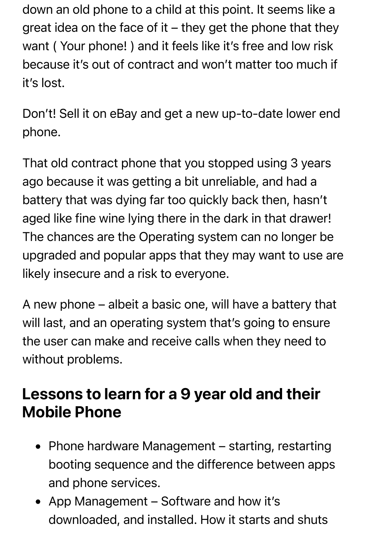down an old phone to a child at this point. It seems like a great idea on the face of it – they get the phone that they want ( Your phone! ) and it feels like it's free and low risk because it's out of contract and won't matter too much if it's lost.

Don't! Sell it on eBay and get a new up-to-date lower end phone.

That old contract phone that you stopped using 3 years ago because it was getting a bit unreliable, and had a battery that was dying far too quickly back then, hasn't aged like fine wine lying there in the dark in that drawer! The chances are the Operating system can no longer be upgraded and popular apps that they may want to use are likely insecure and a risk to everyone.

A new phone – albeit a basic one, will have a battery that will last, and an operating system that's going to ensure the user can make and receive calls when they need to without problems.

#### Lessons to learn for a 9 year old and their Mobile Phone

- Phone hardware Management starting, restarting booting sequence and the difference between apps and phone services.
- App Management Software and how it's downloaded, and installed. How it starts and shuts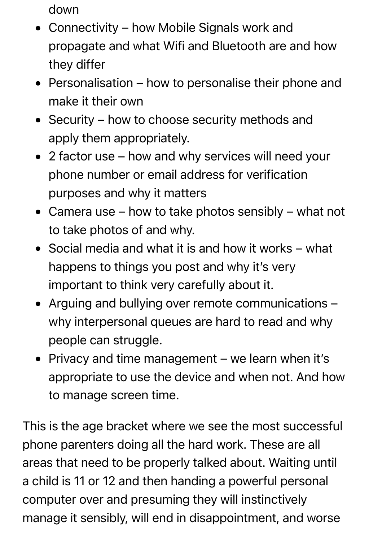down

- Connectivity how Mobile Signals work and propagate and what Wifi and Bluetooth are and how they differ
- Personalisation how to personalise their phone and make it their own
- Security how to choose security methods and apply them appropriately.
- 2 factor use how and why services will need your phone number or email address for verification purposes and why it matters
- Camera use how to take photos sensibly what not to take photos of and why.
- Social media and what it is and how it works what happens to things you post and why it's very important to think very carefully about it.
- Arguing and bullying over remote communications why interpersonal queues are hard to read and why people can struggle.
- Privacy and time management we learn when it's appropriate to use the device and when not. And how to manage screen time.

This is the age bracket where we see the most successful phone parenters doing all the hard work. These are all areas that need to be properly talked about. Waiting until a child is 11 or 12 and then handing a powerful personal computer over and presuming they will instinctively manage it sensibly, will end in disappointment, and worse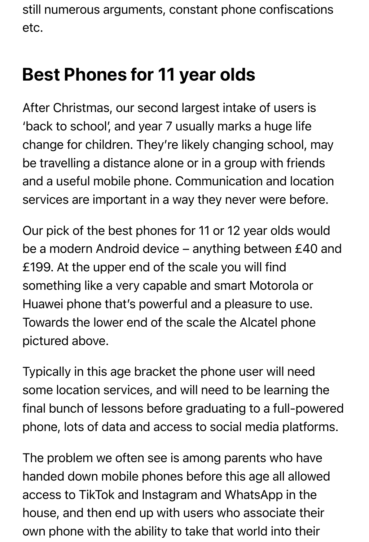still numerous arguments, constant phone confiscations etc.

## Best Phones for 11 year olds

After Christmas, our second largest intake of users is 'back to school', and year 7 usually marks a huge life change for children. They're likely changing school, may be travelling a distance alone or in a group with friends and a useful mobile phone. Communication and location services are important in a way they never were before.

Our pick of the best phones for 11 or 12 year olds would be a modern Android device – anything between £40 and £199. At the upper end of the scale you will find something like a very capable and smart Motorola or Huawei phone that's powerful and a pleasure to use. Towards the lower end of the scale the Alcatel phone pictured above.

Typically in this age bracket the phone user will need some location services, and will need to be learning the final bunch of lessons before graduating to a full-powered phone, lots of data and access to social media platforms.

The problem we often see is among parents who have handed down mobile phones before this age all allowed access to TikTok and Instagram and WhatsApp in the house, and then end up with users who associate their own phone with the ability to take that world into their